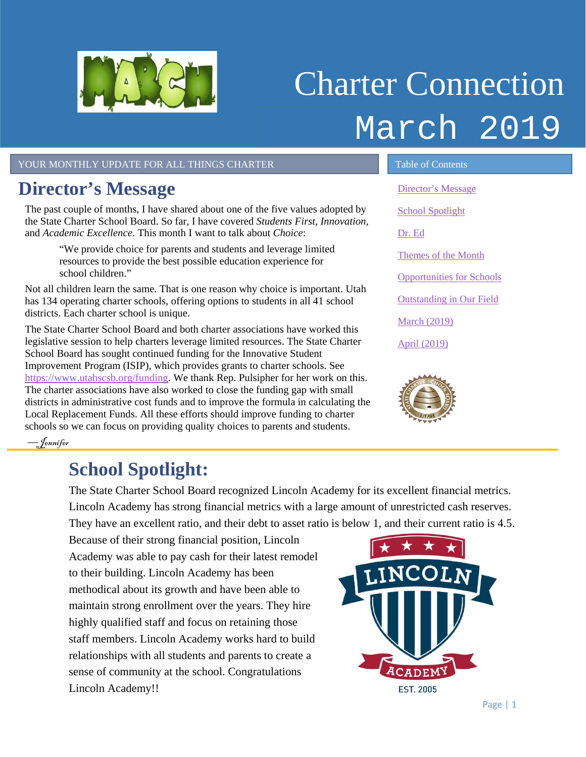<span id="page-0-1"></span>

# Charter Connection March 2019

YOUR MONTHLY UPDATE FOR ALL THINGS CHARTER TABLE OF Contents

## <span id="page-0-0"></span>**Director's Message**

The past couple of months, I have shared about one of the five values adopted by the State Charter School Board. So far, I have covered *Students First*, *Innovation*, and *Academic Excellence*. This month I want to talk about *Choice*:

"We provide choice for parents and students and leverage limited resources to provide the best possible education experience for school children."

Not all children learn the same. That is one reason why choice is important. Utah has 134 operating charter schools, offering options to students in all 41 school districts. Each charter school is unique.

The State Charter School Board and both charter associations have worked this legislative session to help charters leverage limited resources. The State Charter School Board has sought continued funding for the Innovative Student Improvement Program (ISIP), which provides grants to charter schools. See [https://www.utahscsb.org/funding.](https://www.utahscsb.org/funding) We thank Rep. Pulsipher for her work on this. The charter associations have also worked to close the funding gap with small districts in administrative cost funds and to improve the formula in calculating the Local Replacement Funds. All these efforts should improve funding to charter schools so we can focus on providing quality choices to parents and students.

[Director's Message](#page-0-0) [School Spotlight](#page-0-1) [Dr. Ed](#page-1-0) [Themes of the Month](#page-1-1) [Opportunities for Schools](#page-2-0)  [Outstanding in Our Field](#page-2-1) [March \(2019\)](#page-3-0) [April \(2019\)](#page-3-1)



––Jennifer

## **School Spotlight:**

The State Charter School Board recognized Lincoln Academy for its excellent financial metrics. Lincoln Academy has strong financial metrics with a large amount of unrestricted cash reserves. They have an excellent ratio, and their debt to asset ratio is below 1, and their current ratio is 4.5.

Because of their strong financial position, Lincoln Academy was able to pay cash for their latest remodel to their building. Lincoln Academy has been methodical about its growth and have been able to maintain strong enrollment over the years. They hire highly qualified staff and focus on retaining those staff members. Lincoln Academy works hard to build relationships with all students and parents to create a sense of community at the school. Congratulations Lincoln Academy!!

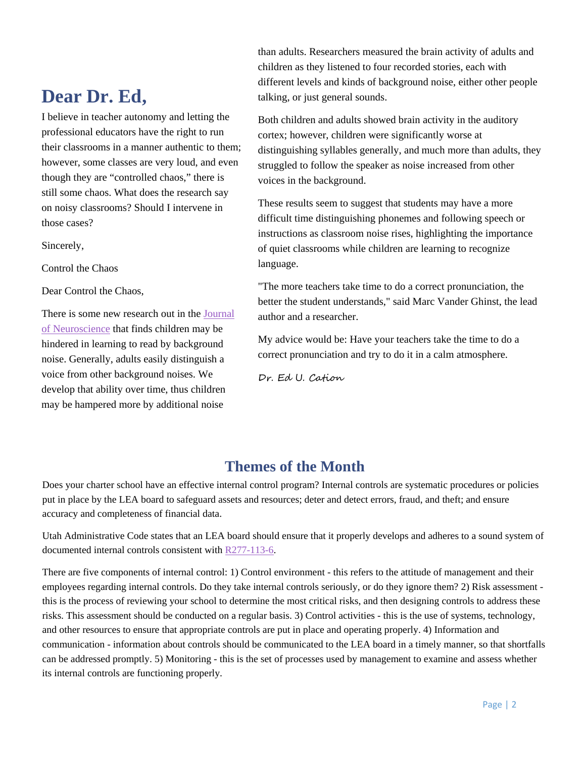### <span id="page-1-0"></span>**Dear Dr. Ed,**

I believe in teacher autonomy and letting the professional educators have the right to run their classrooms in a manner authentic to them; however, some classes are very loud, and even though they are "controlled chaos," there is still some chaos. What does the research say on noisy classrooms? Should I intervene in those cases?

Sincerely,

Control the Chaos

Dear Control the Chaos,

There is some new research out in the [Journal](http://www.jneurosci.org/content/early/2019/02/11/JNEUROSCI.1732-18.2019) [of Neuroscience](http://www.jneurosci.org/content/early/2019/02/11/JNEUROSCI.1732-18.2019) that finds children may be hindered in learning to read by background noise. Generally, adults easily distinguish a voice from other background noises. We develop that ability over time, thus children may be hampered more by additional noise

than adults. Researchers measured the brain activity of adults and children as they listened to four recorded stories, each with different levels and kinds of background noise, either other people talking, or just general sounds.

Both children and adults showed brain activity in the auditory cortex; however, children were significantly worse at distinguishing syllables generally, and much more than adults, they struggled to follow the speaker as noise increased from other voices in the background.

These results seem to suggest that students may have a more difficult time distinguishing phonemes and following speech or instructions as classroom noise rises, highlighting the importance of quiet classrooms while children are learning to recognize language.

"The more teachers take time to do a correct pronunciation, the better the student understands," said Marc Vander Ghinst, the lead author and a researcher.

My advice would be: Have your teachers take the time to do a correct pronunciation and try to do it in a calm atmosphere.

Dr. Ed U. Cation

#### **Themes of the Month**

<span id="page-1-1"></span>Does your charter school have an effective internal control program? Internal controls are systematic procedures or policies put in place by the LEA board to safeguard assets and resources; deter and detect errors, fraud, and theft; and ensure accuracy and completeness of financial data.

Utah Administrative Code states that an LEA board should ensure that it properly develops and adheres to a sound system of documented internal controls consistent with [R277-113-6.](https://rules.utah.gov/publicat/code/r277/r277-113.htm)

There are five components of internal control: 1) Control environment - this refers to the attitude of management and their employees regarding internal controls. Do they take internal controls seriously, or do they ignore them? 2) Risk assessment this is the process of reviewing your school to determine the most critical risks, and then designing controls to address these risks. This assessment should be conducted on a regular basis. 3) Control activities - this is the use of systems, technology, and other resources to ensure that appropriate controls are put in place and operating properly. 4) Information and communication - information about controls should be communicated to the LEA board in a timely manner, so that shortfalls can be addressed promptly. 5) Monitoring - this is the set of processes used by management to examine and assess whether its internal controls are functioning properly.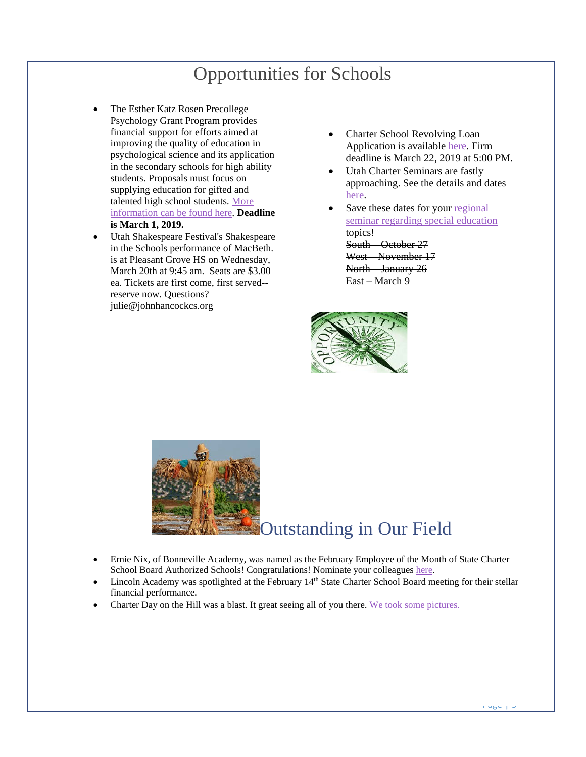## Opportunities for Schools

- <span id="page-2-0"></span>The Esther Katz Rosen Precollege Psychology Grant Program provides financial support for efforts aimed at improving the quality of education in psychological science and its application in the secondary schools for high ability students. Proposals must focus on supplying education for gifted and talented high school students. [More](https://drive.google.com/file/d/1WOzmyoTCxJQxOd7VEgnjgMiMN0IbLfhl/view?usp=sharing)  [information can be found here.](https://drive.google.com/file/d/1WOzmyoTCxJQxOd7VEgnjgMiMN0IbLfhl/view?usp=sharing) **Deadline is March 1, 2019.**
- Utah Shakespeare Festival's Shakespeare in the Schools performance of MacBeth. is at Pleasant Grove HS on Wednesday, March 20th at 9:45 am. Seats are \$3.00 ea. Tickets are first come, first served- reserve now. Questions? julie@johnhancockcs.org
- Charter School Revolving Loan Application is available [here.](https://www.utahscsb.org/funding) Firm deadline is March 22, 2019 at 5:00 PM.
- Utah Charter Seminars are fastly approaching. See the details and dates [here.](https://twitter.com/UtahSCSB/status/1088831561141768193)
- Save these dates for your regional [seminar regarding special education](https://drive.google.com/file/d/1JEg657aeIGbM-BDTb7Z427Iprf1shI54/view?usp=sharing) topics! South – October 27 West – November 17 North – January 26 East – March 9



<span id="page-2-1"></span>

- Ernie Nix, of Bonneville Academy, was named as the February Employee of the Month of State Charter School Board Authorized Schools! Congratulations! Nominate your colleagues [here.](https://docs.google.com/forms/d/e/1FAIpQLSdCs8ICTgo8UzwV7nFe0HiogaRQhfHtxc9YpqXcNvC1nuT56g/viewform?usp=sf_link)
- Lincoln Academy was spotlighted at the February 14<sup>th</sup> State Charter School Board meeting for their stellar financial performance.
- Charter Day on the Hill was a blast. It great seeing all of you there. [We took some pictures.](https://twitter.com/UtahSCSB/status/1096442845517529088)